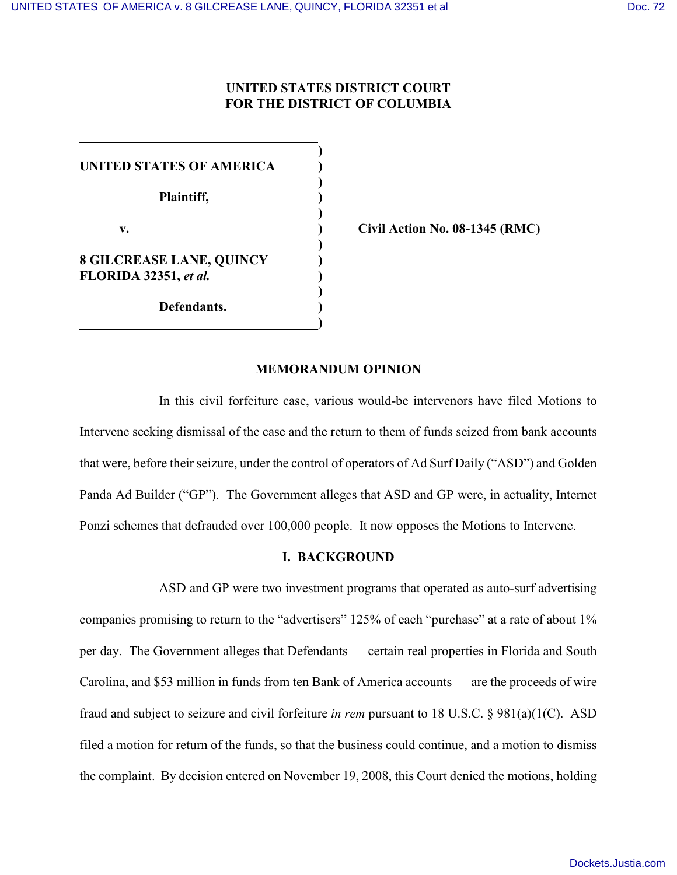## **UNITED STATES DISTRICT COURT FOR THE DISTRICT OF COLUMBIA**

**)**

**)**

**)**

**)**

**)**

**)**

**UNITED STATES OF AMERICA ) Plaintiff, ) v. ) Civil Action No. 08-1345 (RMC) 8 GILCREASE LANE, QUINCY ) FLORIDA 32351,** *et al.* **) Defendants. )**

#### **MEMORANDUM OPINION**

In this civil forfeiture case, various would-be intervenors have filed Motions to Intervene seeking dismissal of the case and the return to them of funds seized from bank accounts that were, before their seizure, under the control of operators of Ad Surf Daily ("ASD") and Golden Panda Ad Builder ("GP"). The Government alleges that ASD and GP were, in actuality, Internet Ponzi schemes that defrauded over 100,000 people. It now opposes the Motions to Intervene.

### **I. BACKGROUND**

ASD and GP were two investment programs that operated as auto-surf advertising companies promising to return to the "advertisers" 125% of each "purchase" at a rate of about 1% per day. The Government alleges that Defendants — certain real properties in Florida and South Carolina, and \$53 million in funds from ten Bank of America accounts — are the proceeds of wire fraud and subject to seizure and civil forfeiture *in rem* pursuant to 18 U.S.C. § 981(a)(1(C). ASD filed a motion for return of the funds, so that the business could continue, and a motion to dismiss the complaint. By decision entered on November 19, 2008, this Court denied the motions, holding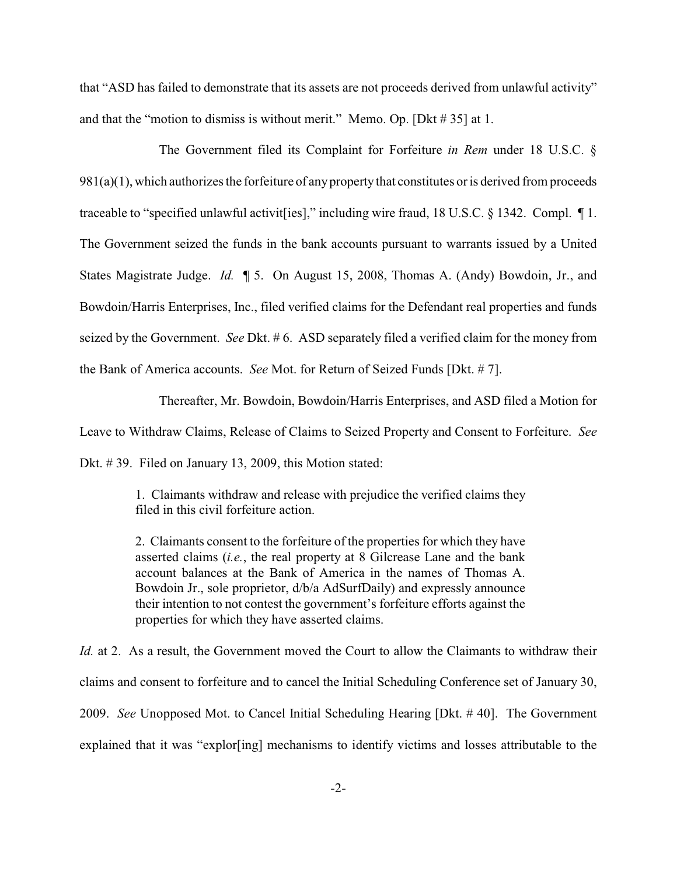that "ASD has failed to demonstrate that its assets are not proceeds derived from unlawful activity" and that the "motion to dismiss is without merit." Memo. Op. [Dkt # 35] at 1.

The Government filed its Complaint for Forfeiture *in Rem* under 18 U.S.C. §  $981(a)(1)$ , which authorizes the forfeiture of any property that constitutes or is derived from proceeds traceable to "specified unlawful activit[ies]," including wire fraud, 18 U.S.C. § 1342. Compl. ¶ 1. The Government seized the funds in the bank accounts pursuant to warrants issued by a United States Magistrate Judge. *Id.* ¶ 5. On August 15, 2008, Thomas A. (Andy) Bowdoin, Jr., and Bowdoin/Harris Enterprises, Inc., filed verified claims for the Defendant real properties and funds seized by the Government. *See* Dkt. # 6. ASD separately filed a verified claim for the money from the Bank of America accounts. *See* Mot. for Return of Seized Funds [Dkt. # 7].

Thereafter, Mr. Bowdoin, Bowdoin/Harris Enterprises, and ASD filed a Motion for Leave to Withdraw Claims, Release of Claims to Seized Property and Consent to Forfeiture. *See* Dkt. # 39. Filed on January 13, 2009, this Motion stated:

> 1. Claimants withdraw and release with prejudice the verified claims they filed in this civil forfeiture action.

> 2. Claimants consent to the forfeiture of the properties for which they have asserted claims (*i.e.*, the real property at 8 Gilcrease Lane and the bank account balances at the Bank of America in the names of Thomas A. Bowdoin Jr., sole proprietor, d/b/a AdSurfDaily) and expressly announce their intention to not contest the government's forfeiture efforts against the properties for which they have asserted claims.

*Id.* at 2. As a result, the Government moved the Court to allow the Claimants to withdraw their claims and consent to forfeiture and to cancel the Initial Scheduling Conference set of January 30, 2009. *See* Unopposed Mot. to Cancel Initial Scheduling Hearing [Dkt. # 40]. The Government explained that it was "explor[ing] mechanisms to identify victims and losses attributable to the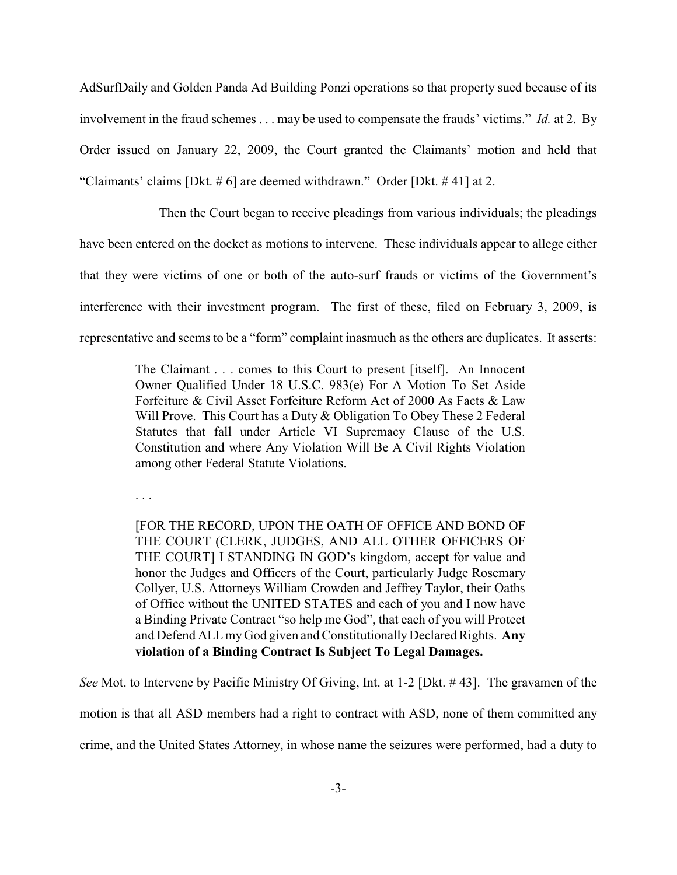AdSurfDaily and Golden Panda Ad Building Ponzi operations so that property sued because of its involvement in the fraud schemes . . . may be used to compensate the frauds' victims." *Id.* at 2. By Order issued on January 22, 2009, the Court granted the Claimants' motion and held that "Claimants' claims [Dkt. # 6] are deemed withdrawn." Order [Dkt. # 41] at 2.

Then the Court began to receive pleadings from various individuals; the pleadings have been entered on the docket as motions to intervene. These individuals appear to allege either that they were victims of one or both of the auto-surf frauds or victims of the Government's interference with their investment program. The first of these, filed on February 3, 2009, is representative and seems to be a "form" complaint inasmuch as the others are duplicates. It asserts:

> The Claimant . . . comes to this Court to present [itself]. An Innocent Owner Qualified Under 18 U.S.C. 983(e) For A Motion To Set Aside Forfeiture & Civil Asset Forfeiture Reform Act of 2000 As Facts & Law Will Prove. This Court has a Duty & Obligation To Obey These 2 Federal Statutes that fall under Article VI Supremacy Clause of the U.S. Constitution and where Any Violation Will Be A Civil Rights Violation among other Federal Statute Violations.

. . .

[FOR THE RECORD, UPON THE OATH OF OFFICE AND BOND OF THE COURT (CLERK, JUDGES, AND ALL OTHER OFFICERS OF THE COURT] I STANDING IN GOD's kingdom, accept for value and honor the Judges and Officers of the Court, particularly Judge Rosemary Collyer, U.S. Attorneys William Crowden and Jeffrey Taylor, their Oaths of Office without the UNITED STATES and each of you and I now have a Binding Private Contract "so help me God", that each of you will Protect and Defend ALL my God given and Constitutionally Declared Rights. **Any violation of a Binding Contract Is Subject To Legal Damages.**

*See* Mot. to Intervene by Pacific Ministry Of Giving, Int. at 1-2 [Dkt. # 43]. The gravamen of the motion is that all ASD members had a right to contract with ASD, none of them committed any

crime, and the United States Attorney, in whose name the seizures were performed, had a duty to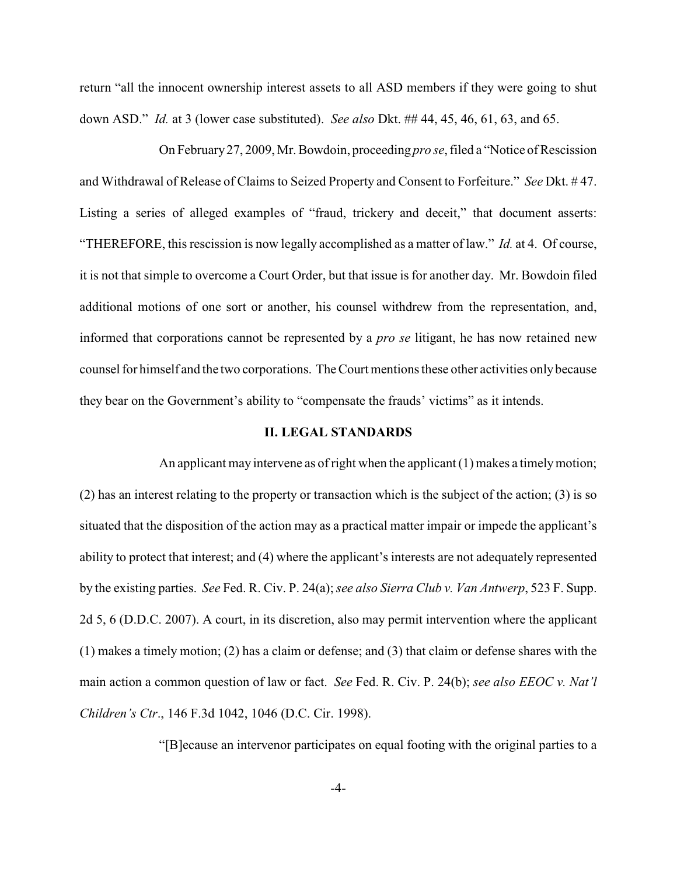return "all the innocent ownership interest assets to all ASD members if they were going to shut down ASD." *Id.* at 3 (lower case substituted). *See also* Dkt. ## 44, 45, 46, 61, 63, and 65.

On February 27, 2009, Mr. Bowdoin, proceeding *pro se*, filed a "Notice of Rescission and Withdrawal of Release of Claims to Seized Property and Consent to Forfeiture." *See* Dkt. # 47. Listing a series of alleged examples of "fraud, trickery and deceit," that document asserts: "THEREFORE, this rescission is now legally accomplished as a matter of law." *Id.* at 4. Of course, it is not that simple to overcome a Court Order, but that issue is for another day. Mr. Bowdoin filed additional motions of one sort or another, his counsel withdrew from the representation, and, informed that corporations cannot be represented by a *pro se* litigant, he has now retained new counsel for himself and the two corporations. The Court mentions these other activities only because they bear on the Government's ability to "compensate the frauds' victims" as it intends.

### **II. LEGAL STANDARDS**

An applicant may intervene as of right when the applicant (1) makes a timely motion; (2) has an interest relating to the property or transaction which is the subject of the action; (3) is so situated that the disposition of the action may as a practical matter impair or impede the applicant's ability to protect that interest; and (4) where the applicant's interests are not adequately represented by the existing parties. *See* Fed. R. Civ. P. 24(a);*see also Sierra Club v. Van Antwerp*, 523 F. Supp. 2d 5, 6 (D.D.C. 2007). A court, in its discretion, also may permit intervention where the applicant (1) makes a timely motion; (2) has a claim or defense; and (3) that claim or defense shares with the main action a common question of law or fact. *See* Fed. R. Civ. P. 24(b); *see also EEOC v. Nat'l Children's Ctr*., 146 F.3d 1042, 1046 (D.C. Cir. 1998).

"[B]ecause an intervenor participates on equal footing with the original parties to a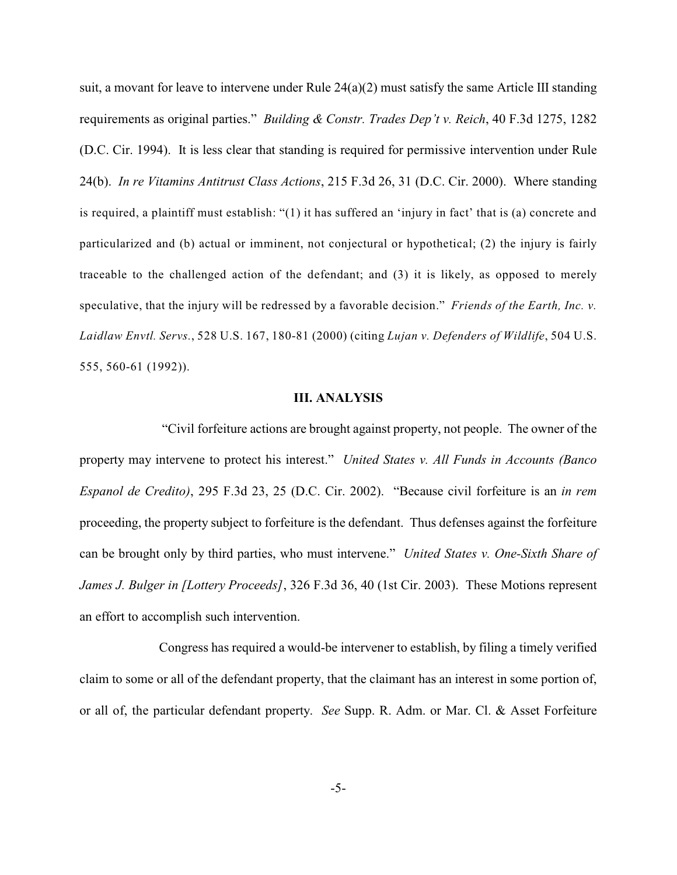suit, a movant for leave to intervene under Rule  $24(a)(2)$  must satisfy the same Article III standing requirements as original parties." *Building & Constr. Trades Dep't v. Reich*, 40 F.3d 1275, 1282 (D.C. Cir. 1994). It is less clear that standing is required for permissive intervention under Rule 24(b). *In re Vitamins Antitrust Class Actions*, 215 F.3d 26, 31 (D.C. Cir. 2000). Where standing is required, a plaintiff must establish: "(1) it has suffered an 'injury in fact' that is (a) concrete and particularized and (b) actual or imminent, not conjectural or hypothetical; (2) the injury is fairly traceable to the challenged action of the defendant; and (3) it is likely, as opposed to merely speculative, that the injury will be redressed by a favorable decision." *Friends of the Earth, Inc. v. Laidlaw Envtl. Servs.*, 528 U.S. 167, 180-81 (2000) (citing *Lujan v. Defenders of Wildlife*, 504 U.S. 555, 560-61 (1992)).

### **III. ANALYSIS**

 "Civil forfeiture actions are brought against property, not people. The owner of the property may intervene to protect his interest." *United States v. All Funds in Accounts (Banco Espanol de Credito)*, 295 F.3d 23, 25 (D.C. Cir. 2002). "Because civil forfeiture is an *in rem* proceeding, the property subject to forfeiture is the defendant. Thus defenses against the forfeiture can be brought only by third parties, who must intervene." *United States v. One-Sixth Share of James J. Bulger in [Lottery Proceeds]*, 326 F.3d 36, 40 (1st Cir. 2003). These Motions represent an effort to accomplish such intervention.

Congress has required a would-be intervener to establish, by filing a timely verified claim to some or all of the defendant property, that the claimant has an interest in some portion of, or all of, the particular defendant property. *See* Supp. R. Adm. or Mar. Cl. & Asset Forfeiture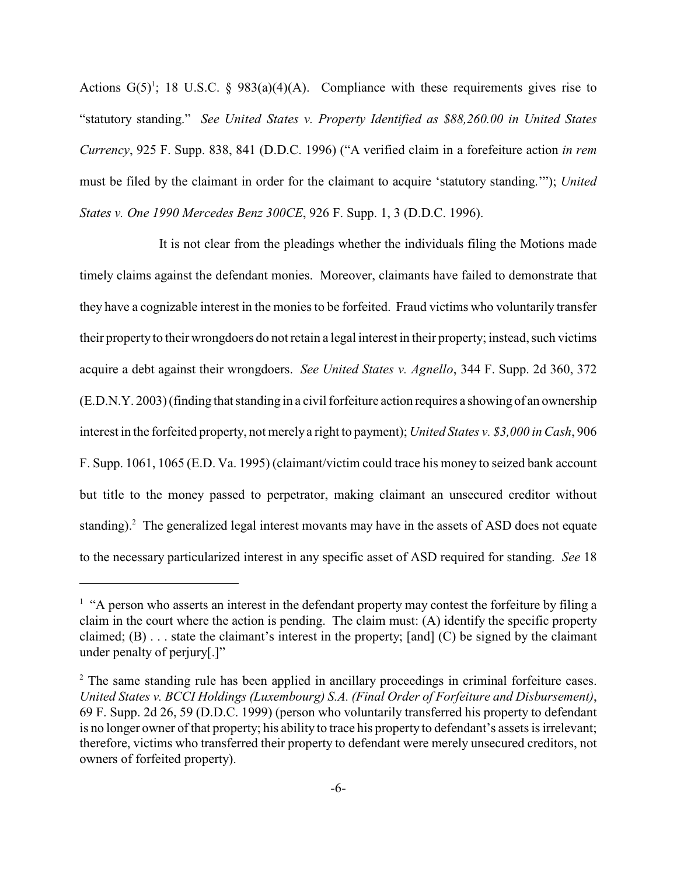Actions  $G(5)^1$ ; 18 U.S.C. § 983(a)(4)(A). Compliance with these requirements gives rise to "statutory standing." *See United States v. Property Identified as \$88,260.00 in United States Currency*, 925 F. Supp. 838, 841 (D.D.C. 1996) ("A verified claim in a forefeiture action *in rem* must be filed by the claimant in order for the claimant to acquire 'statutory standing.'"); *United States v. One 1990 Mercedes Benz 300CE*, 926 F. Supp. 1, 3 (D.D.C. 1996).

It is not clear from the pleadings whether the individuals filing the Motions made timely claims against the defendant monies. Moreover, claimants have failed to demonstrate that they have a cognizable interest in the monies to be forfeited. Fraud victims who voluntarily transfer their property to their wrongdoers do not retain a legal interest in their property; instead, such victims acquire a debt against their wrongdoers. *See United States v. Agnello*, 344 F. Supp. 2d 360, 372 (E.D.N.Y. 2003) (finding that standing in a civilforfeiture action requires a showing of an ownership interest in the forfeited property, not merely a right to payment); *United States v. \$3,000 in Cash*, 906 F. Supp. 1061, 1065 (E.D. Va. 1995) (claimant/victim could trace his money to seized bank account but title to the money passed to perpetrator, making claimant an unsecured creditor without standing).<sup>2</sup> The generalized legal interest movants may have in the assets of ASD does not equate to the necessary particularized interest in any specific asset of ASD required for standing. *See* 18

 $<sup>1</sup>$  "A person who asserts an interest in the defendant property may contest the forfeiture by filing a</sup> claim in the court where the action is pending. The claim must: (A) identify the specific property claimed; (B) . . . state the claimant's interest in the property; [and] (C) be signed by the claimant under penalty of perjury[.]"

<sup>&</sup>lt;sup>2</sup> The same standing rule has been applied in ancillary proceedings in criminal forfeiture cases. *United States v. BCCI Holdings (Luxembourg) S.A. (Final Order of Forfeiture and Disbursement)*, 69 F. Supp. 2d 26, 59 (D.D.C. 1999) (person who voluntarily transferred his property to defendant is no longer owner of that property; his ability to trace his property to defendant's assets is irrelevant; therefore, victims who transferred their property to defendant were merely unsecured creditors, not owners of forfeited property).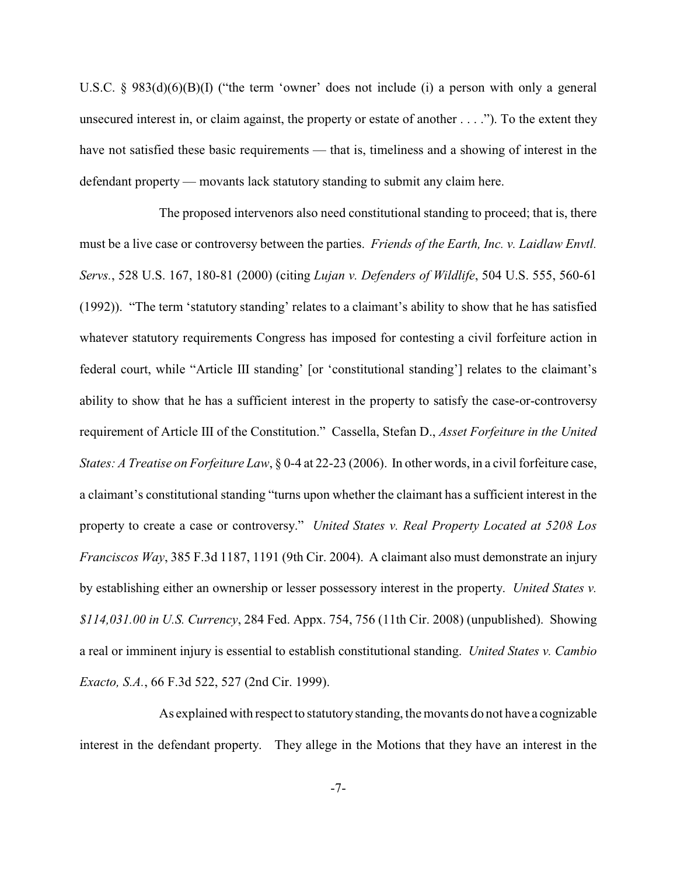U.S.C. § 983(d)(6)(B)(I) ("the term 'owner' does not include (i) a person with only a general unsecured interest in, or claim against, the property or estate of another . . . ."). To the extent they have not satisfied these basic requirements — that is, timeliness and a showing of interest in the defendant property — movants lack statutory standing to submit any claim here.

The proposed intervenors also need constitutional standing to proceed; that is, there must be a live case or controversy between the parties. *Friends of the Earth, Inc. v. Laidlaw Envtl. Servs.*, 528 U.S. 167, 180-81 (2000) (citing *Lujan v. Defenders of Wildlife*, 504 U.S. 555, 560-61 (1992)). "The term 'statutory standing' relates to a claimant's ability to show that he has satisfied whatever statutory requirements Congress has imposed for contesting a civil forfeiture action in federal court, while "Article III standing' [or 'constitutional standing'] relates to the claimant's ability to show that he has a sufficient interest in the property to satisfy the case-or-controversy requirement of Article III of the Constitution." Cassella, Stefan D., *Asset Forfeiture in the United States: A Treatise on Forfeiture Law*, § 0-4 at 22-23 (2006). In other words, in a civil forfeiture case, a claimant's constitutional standing "turns upon whether the claimant has a sufficient interest in the property to create a case or controversy." *United States v. Real Property Located at 5208 Los Franciscos Way*, 385 F.3d 1187, 1191 (9th Cir. 2004). A claimant also must demonstrate an injury by establishing either an ownership or lesser possessory interest in the property. *United States v. \$114,031.00 in U.S. Currency*, 284 Fed. Appx. 754, 756 (11th Cir. 2008) (unpublished). Showing a real or imminent injury is essential to establish constitutional standing. *United States v. Cambio Exacto, S.A.*, 66 F.3d 522, 527 (2nd Cir. 1999).

As explained with respect to statutory standing, themovants do not have a cognizable interest in the defendant property. They allege in the Motions that they have an interest in the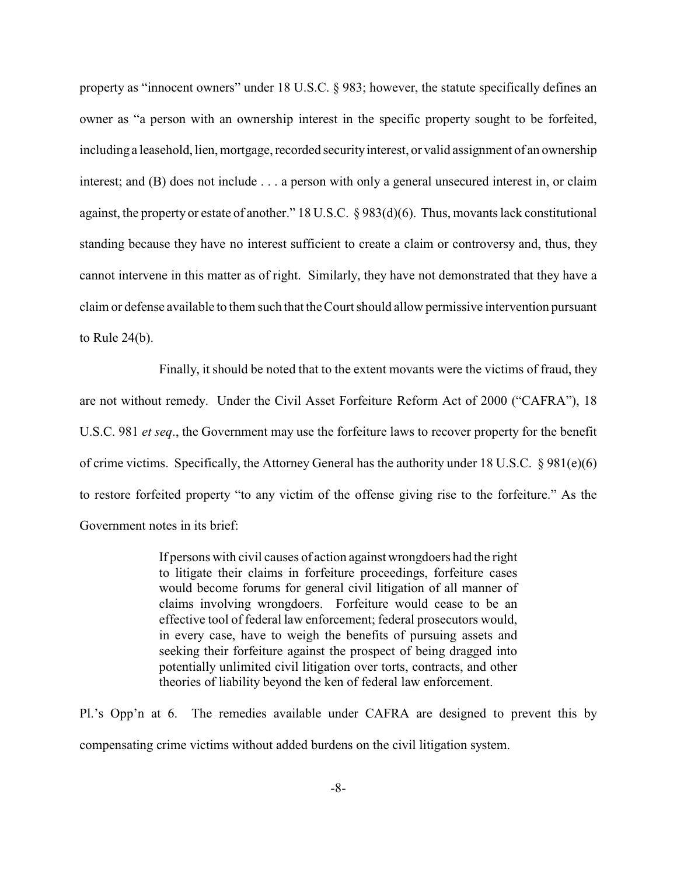property as "innocent owners" under 18 U.S.C. § 983; however, the statute specifically defines an owner as "a person with an ownership interest in the specific property sought to be forfeited, including a leasehold, lien, mortgage, recorded security interest, or valid assignment of an ownership interest; and (B) does not include . . . a person with only a general unsecured interest in, or claim against, the property or estate of another." 18 U.S.C. § 983(d)(6). Thus, movants lack constitutional standing because they have no interest sufficient to create a claim or controversy and, thus, they cannot intervene in this matter as of right. Similarly, they have not demonstrated that they have a claim or defense available to them such that the Court should allow permissive intervention pursuant to Rule 24(b).

Finally, it should be noted that to the extent movants were the victims of fraud, they are not without remedy. Under the Civil Asset Forfeiture Reform Act of 2000 ("CAFRA"), 18 U.S.C. 981 *et seq*., the Government may use the forfeiture laws to recover property for the benefit of crime victims. Specifically, the Attorney General has the authority under 18 U.S.C.  $\S 981(e)(6)$ to restore forfeited property "to any victim of the offense giving rise to the forfeiture." As the Government notes in its brief:

> If persons with civil causes of action against wrongdoers had the right to litigate their claims in forfeiture proceedings, forfeiture cases would become forums for general civil litigation of all manner of claims involving wrongdoers. Forfeiture would cease to be an effective tool of federal law enforcement; federal prosecutors would, in every case, have to weigh the benefits of pursuing assets and seeking their forfeiture against the prospect of being dragged into potentially unlimited civil litigation over torts, contracts, and other theories of liability beyond the ken of federal law enforcement.

Pl.'s Opp'n at 6. The remedies available under CAFRA are designed to prevent this by compensating crime victims without added burdens on the civil litigation system.